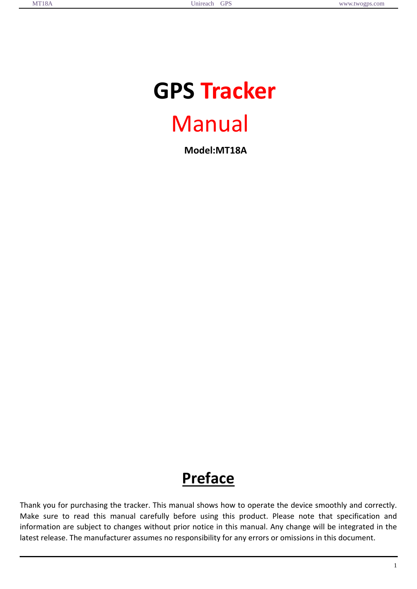֡֡֡֡֡

# **GPS Tracker** Manual  **Model:MT18A**

# **Preface**

Thank you for purchasing the tracker. This manual shows how to operate the device smoothly and correctly. Make sure to read this manual carefully before using this product. Please note that specification and information are subject to changes without prior notice in this manual. Any change will be integrated in the latest release. The manufacturer assumes no responsibility for any errors or omissions in this document.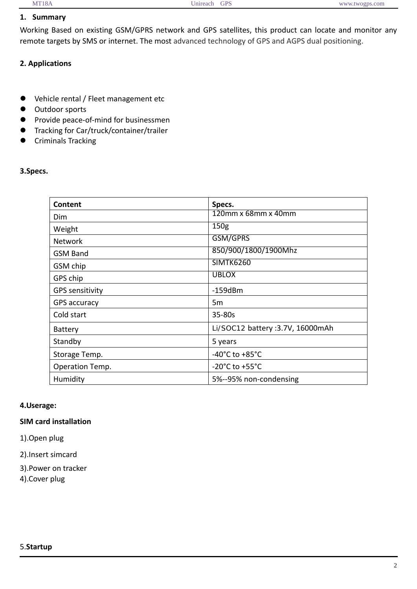# **1. Summary**

Working Based on existing GSM/GPRS network and GPS satellites, this product can locate and monitor any remote targets by SMS or internet. The most advanced technology of GPS and AGPS dual positioning.

## **2. Applications**

- $\bullet$  Vehicle rental / Fleet management etc
- $\bullet$  Outdoor sports
- Provide peace-of-mind for businessmen
- **•** Tracking for Car/truck/container/trailer
- **•** Criminals Tracking

#### **3.Specs.**

| Content                | Specs.                               |  |
|------------------------|--------------------------------------|--|
| Dim                    | 120mm x 68mm x 40mm                  |  |
| Weight                 | 150 <sub>g</sub>                     |  |
| <b>Network</b>         | GSM/GPRS                             |  |
| <b>GSM Band</b>        | 850/900/1800/1900Mhz                 |  |
| GSM chip               | <b>SIMTK6260</b>                     |  |
| GPS chip               | <b>UBLOX</b>                         |  |
| <b>GPS sensitivity</b> | $-159dBm$                            |  |
| <b>GPS accuracy</b>    | 5m                                   |  |
| Cold start             | $35 - 80s$                           |  |
| <b>Battery</b>         | Li/SOC12 battery :3.7V, 16000mAh     |  |
| Standby                | 5 years                              |  |
| Storage Temp.          | -40 $^{\circ}$ C to +85 $^{\circ}$ C |  |
| Operation Temp.        | $-20^{\circ}$ C to $+55^{\circ}$ C   |  |
| Humidity               | 5%--95% non-condensing               |  |

#### **4.Userage:**

# **SIM card installation**

1).Open plug

2).Insert simcard

3).Power on tracker

4).Cover plug

֡֡֡֡֡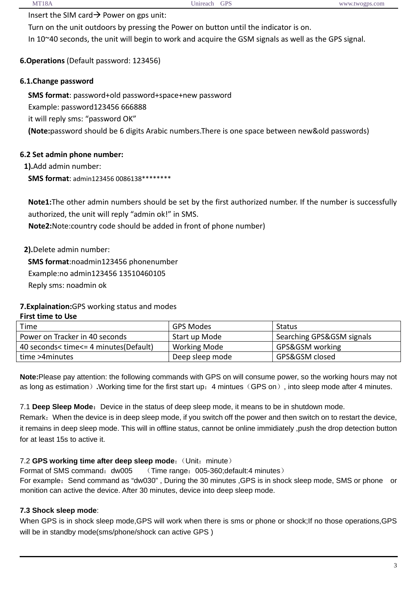Insert the SIM card  $\rightarrow$  Power on gps unit:

Turn on the unit outdoors by pressing the Power on button until the indicator is on. In 10~40 seconds, the unit will begin to work and acquire the GSM signals as well as the GPS signal.

# **6.Operations** (Default password: 123456)

# **6.1.Change password**

**SMS format**: password+old password+space+new password Example: password123456 666888 it will reply sms: "password OK" **(Note:**password should be 6 digits Arabic numbers.There is one space between new&old passwords)

### **6.2 Set admin phone number:**

**1).**Add admin number:

**SMS format**: admin123456 0086138\*\*\*\*\*\*\*\*

**Note1:**The other admin numbers should be set by the first authorized number. If the number is successfully authorized, the unit will reply "admin ok!" in SMS.

**Note2:**Note:country code should be added in front of phone number)

**2).**Delete admin number:

**SMS format**:noadmin123456 phonenumber Example:no admin123456 13510460105 Reply sms: noadmin ok

### **7.Explaination:**GPS working status and modes

#### **First time to Use**

| Time                                  | GPS Modes       | <b>Status</b>             |
|---------------------------------------|-----------------|---------------------------|
| Power on Tracker in 40 seconds        | Start up Mode   | Searching GPS&GSM signals |
| 40 seconds< time<= 4 minutes(Default) | Working Mode    | GPS&GSM working           |
| time >4minutes                        | Deep sleep mode | GPS&GSM closed            |

**Note:**Please pay attention: the following commands with GPS on will consume power, so the working hours may not as long as estimation)**.**Working time for the first start up:4 mintues(GPS on), into sleep mode after 4 minutes.

7.1 **Deep Sleep Mode:** Device in the status of deep sleep mode, it means to be in shutdown mode.

Remark:When the device is in deep sleep mode, if you switch off the power and then switch on to restart the device, it remains in deep sleep mode. This will in offline status, cannot be online immidiately ,push the drop detection button for at least 15s to active it.

### 7.2 **GPS working time after deep sleep mode**: (Unit: minute)

Format of SMS command:dw005(Time range:005-360;default:4 minutes) For example: Send command as "dw030", During the 30 minutes ,GPS is in shock sleep mode, SMS or phone or monition can active the device. After 30 minutes, device into deep sleep mode.

### **7.3 Shock sleep mode**:

֡֡֡֡֡

When GPS is in shock sleep mode,GPS will work when there is sms or phone or shock; If no those operations, GPS will be in standby mode(sms/phone/shock can active GPS)